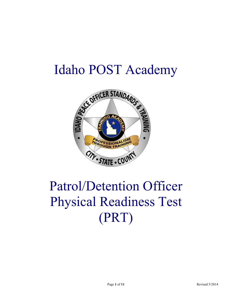# Idaho POST Academy



# Patrol/Detention Officer Physical Readiness Test (PRT)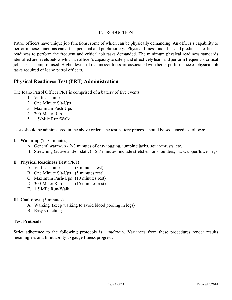#### INTRODUCTION

Patrol officers have unique job functions, some of which can be physically demanding. An officer's capability to perform those functions can affect personal and public safety. Physical fitness underlies and predicts an officer's readiness to perform the frequent and critical job tasks demanded. The minimum physical readiness standards identified are levels below which an officer's capacity to safely and effectively learn and perform frequent or critical job tasks is compromised. Higher levels of readiness/fitness are associated with better performance of physical job tasks required of Idaho patrol officers.

## **Physical Readiness Test (PRT) Administration**

The Idaho Patrol Officer PRT is comprised of a battery of five events:

- 1. Vertical Jump
- 2. One Minute Sit-Ups
- 3. Maximum Push-Ups
- 4. 300-Meter Run
- 5. 1.5-Mile Run/Walk

Tests should be administered in the above order. The test battery process should be sequenced as follows:

#### I. **Warm-up** (7-10 minutes)

- A. General warm-up 2-3 minutes of easy jogging, jumping jacks, squat-thrusts, etc.
- B. Stretching (active and/or static) 5-7 minutes, include stretches for shoulders, back, upper/lower legs

#### II. **Physical Readiness Test** (PRT)

- A. Vertical Jump (3 minutes rest)
- B. One Minute Sit-Ups (5 minutes rest)
- C. Maximum Push-Ups (10 minutes rest)
- D. 300-Meter Run (15 minutes rest)
- E. 1.5 Mile Run/Walk

#### III. **Cool-down** (5 minutes)

- A. Walking (keep walking to avoid blood pooling in legs)
- B. Easy stretching

#### **Test Protocols**

Strict adherence to the following protocols is *mandatory*. Variances from these procedures render results meaningless and limit ability to gauge fitness progress.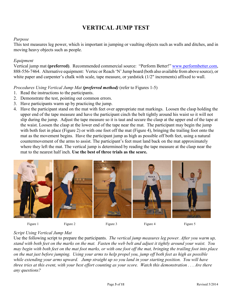# **VERTICAL JUMP TEST**

#### *Purpose*

This test measures leg power, which is important in jumping or vaulting objects such as walls and ditches, and in moving heavy objects such as people.

#### *Equipment*

Vertical jump mat **(preferred)**. Recommended commercial source: "Perform Better!" www.performbetter.com, 888-556-7464. Alternative equipment: Vertec or Reach 'N' Jump board (both also available from above source), or white paper and carpenter's chalk with scale, tape measure, or yardstick ( $1/2$ " increments) affixed to wall.

#### *Procedures Using Vertical Jump Mat (preferred method)* (refer to Figures 1-5)

- 1. Read the instructions to the participants.
- 2. Demonstrate the test, pointing out common errors.
- 3. Have participants warm up by practicing the jump.
- 4. Have the participant stand on the mat with feet over appropriate mat markings. Loosen the clasp holding the upper end of the tape measure and have the participant cinch the belt tightly around his waist so it will not slip during the jump. Adjust the tape measure so it is taut and secure the clasp at the upper end of the tape at the waist. Loosen the clasp at the lower end of the tape near the mat. The participant may begin the jump with both feet in place (Figure 2) or with one foot off the mat (Figure 4), bringing the trailing foot onto the mat as the movement begins. Have the participant jump as high as possible off both feet, using a natural countermovement of the arms to assist. The participant's feet must land back on the mat approximately where they left the mat. The vertical jump is determined by reading the tape measure at the clasp near the mat to the nearest half inch. **Use the best of three trials as the score.**





## *Script Using Vertical Jump Mat*

Use the following script to prepare the participants. *The vertical jump measures leg power. After you warm up, stand with both feet on the marks on the mat. Fasten the web belt and adjust it tightly around your waist. You may begin with both feet on the mat foot marks, or with one foot off the mat, bringing the trailing foot into place on the mat just before jumping. Using your arms to help propel you, jump off both feet as high as possible while extending your arms upward. Jump straight up so you land in your starting position. You will have three tries at this event, with your best effort counting as your score. Watch this demonstration . . . Are there any questions?*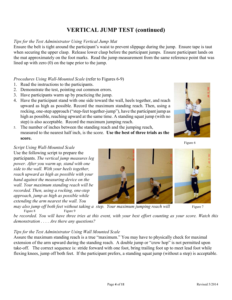# **VERTICAL JUMP TEST (continued)**

## *Tips for the Test Administrator Using Vertical Jump Mat*

Ensure the belt is tight around the participant's waist to prevent slippage during the jump. Ensure tape is taut when securing the upper clasp. Release lower clasp before the participant jumps. Ensure participant lands on the mat approximately on the foot marks. Read the jump measurement from the same reference point that was lined up with zero (0) on the tape prior to the jump.

#### *Procedures Using Wall-Mounted Scale* (refer to Figures 6-9)

- 1. Read the instructions to the participants.
- 2. Demonstrate the test, pointing out common errors.
- 3. Have participants warm up by practicing the jump.
- 4. Have the participant stand with one side toward the wall, heels together, and reach upward as high as possible. Record the maximum standing reach. Then, using a rocking, one-step approach ("step-feet together-jump"), have the participant jump as high as possible, reaching upward at the same time. A standing squat jump (with no step) is also acceptable. Record the maximum jumping reach.
- 5. The number of inches between the standing reach and the jumping reach, measured to the nearest half inch, is the score. **Use the best of three trials as the score.**



Figure 6

#### *Script Using Wall-Mounted Scale*

Use the following script to prepare the participants. *The vertical jump measures leg power. After you warm up, stand with one side to the wall. With your heels together, reach upward as high as possible with your hand against the measuring device on the wall. Your maximum standing reach will be recorded. Then, using a rocking, one-step approach, jump as high as possible while extending the arm nearest the wall. You*





*may also jump off both feet without taking a step. Your maximum jumping reach will* Figure 7 Figure 8 Figure 9

*be recorded. You will have three tries at this event, with your best effort counting as your score. Watch this demonstration . . . . Are there any questions?*

#### *Tips for the Test Administrator Using Wall Mounted Scale*

Assure the maximum standing reach is a true "maximum." You may have to physically check for maximal extension of the arm upward during the standing reach. A double jump or "crow hop" is not permitted upon take-off. The correct sequence is: stride forward with one foot, bring trailing foot up to meet lead foot while flexing knees, jump off both feet. If the participant prefers, a standing squat jump (without a step) is acceptable.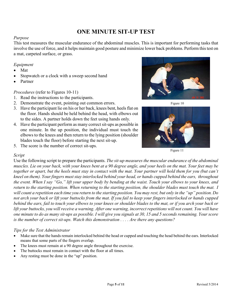## **ONE MINUTE SIT-UP TEST**

#### *Purpose*

This test measures the muscular endurance of the abdominal muscles. This is important for performing tasks that involve the use of force, and it helps maintain good posture and minimize lower back problems. Perform this test on a mat, carpeted surface, or grass.

#### *Equipment*

- Mat  $\bullet$
- Stopwatch or a clock with a sweep second hand
- Partner

### *Procedures* (refer to Figures 10-11)

- 1. Read the instructions to the participants.
- 2. Demonstrate the event, pointing out common errors. Figure 10
- 3. Have the participant lie on his or her back, knees bent, heels flat on the floor. Hands should be held behind the head, with elbows out to the sides. A partner holds down the feet using hands only.
- 4. Have the participant perform as many correct sit-ups as possible in one minute. In the up position, the individual must touch the elbows to the knees and then return to the lying position (shoulder blades touch the floor) before starting the next sit-up.
- 5. The score is the number of correct sit-ups.







Figure 11

## *Script*

Use the following script to prepare the participants. *The sit-up measures the muscular endurance of the abdominal muscles. Lie on your back, with your knees bent at a 90 degree angle, and your heels on the mat. Your feet may be together or apart, but the heels must stay in contact with the mat. Your partner will hold them for you (but can't kneel on them). Your fingers must stay interlocked behind your head, or hands cupped behind the ears, throughout the event. When I say "Go," lift your upper body by bending at the waist. Touch your elbows to your knees, and return to the starting position. When returning to the starting position, the shoulder blades must touch the mat. I will count a repetition each time you return to the starting position. You may rest, but only in the "up" position. Do not arch your back or lift your buttocks from the mat. If you fail to keep your fingers interlocked or hands cupped behind the ears, fail to touch your elbows to your knees or shoulder blades to the mat, or if you arch your back or lift your buttocks, you will receive a warning. After one warning, incorrect repetitions will not count. You will have one minute to do as many sit-ups as possible. I will give you signals at 30, 15 and 5 seconds remaining. Your score is the number of correct sit-ups. Watch this demonstration . . . . Are there any questions?*

#### *Tips for the Test Administrator*

- Make sure that the hands remain interlocked behind the head or cupped and touching the head behind the ears. Interlocked means that some parts of the fingers overlap.
- The knees must remain at a 90 degree angle throughout the exercise.
- The buttocks must remain in contact with the floor at all times.
- Any resting must be done in the "up" position.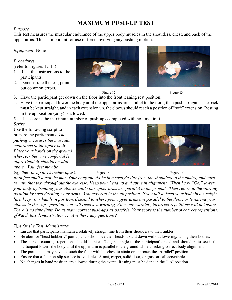# **MAXIMUM PUSH-UP TEST**

#### *Purpose*

This test measures the muscular endurance of the upper body muscles in the shoulders, chest, and back of the upper arms. This is important for use of force involving any pushing motion.

*Equipment:* None

#### *Procedures*

(refer to Figures 12-15)

- 1. Read the instructions to the participants.
- 2. Demonstrate the test, point out common errors.
- 3. Have the participant get down on the floor into the front leaning rest position.
- 4. Have the participant lower the body until the upper arms are parallel to the floor, then push up again. The back must be kept straight, and in each extension up, the elbows should reach a position of "soft" extension. Resting in the up position (only) is allowed.
- 5. The score is the maximum number of push-ups completed with no time limit.

*Script*

Use the following script to prepare the participants. *The push-up measures the muscular endurance of the upper body. Place your hands on the ground wherever they are comfortable, approximately shoulder width apart. Your feet may be*

*together, or up to 12 inches apart.* Figure 14 Figure 15 Figure 15









*Both feet shall touch the mat. Your body should be in a straight line from the shoulders to the ankles, and must remain that way throughout the exercise. Keep your head up and spine in alignment. When I say "Go," lower your body by bending your elbows until your upper arms are parallel to the ground. Then return to the starting position by straightening your arms. You may rest in the up position. If you fail to keep your body in a straight line, keep your hands in position, descend to where your upper arms are parallel to the floor, or to extend your elbows in the "up" position, you will receive a warning. After one warning, incorrect repetitions will not count. There is no time limit. Do as many correct push-ups as possible. Your score is the number of correct repetitions. gfWatch this demonstration . . . Are there any questions?*

#### *Tips for the Test Administrator*

- Ensure that participants maintain a relatively straight line from their shoulders to their ankles.
- Be alert for "head bobbers," participants who move their heads up and down without lowering/raising their bodies.
- The person counting repetitions should be at a 45 degree angle to the participant's head and shoulders to see if the  $\bullet$ participant lowers the body until the upper arm is parallel to the ground while checking correct body alignment.
- The participant may have to touch the floor with his chest to attain or approach the "parallel" position.
- Ensure that a flat non-slip surface is available. A mat, carpet, solid floor, or grass are all acceptable.
- No changes in hand position are allowed during the event. Resting must be done in the "up" position.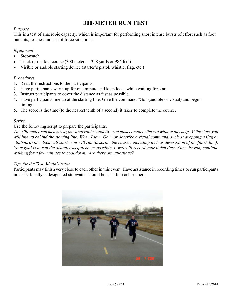## **300-METER RUN TEST**

#### *Purpose*

This is a test of anaerobic capacity, which is important for performing short intense bursts of effort such as foot pursuits, rescues and use of force situations.

#### *Equipment*

- Stopwatch  $\bullet$
- Track or marked course (300 meters = 328 yards or 984 feet)  $\bullet$
- Visible or audible starting device (starter's pistol, whistle, flag, etc.)

#### *Procedures*

- 1. Read the instructions to the participants.
- 2. Have participants warm up for one minute and keep loose while waiting for start.
- 3. Instruct participants to cover the distance as fast as possible.
- 4. Have participants line up at the starting line. Give the command "Go" (audible or visual) and begin timing.
- 5. The score is the time (to the nearest tenth of a second) it takes to complete the course.

#### *Script*

#### Use the following script to prepare the participants.

*The 300-meter run measures your anaerobic capacity. You must complete the run without any help. At the start, you will line up behind the starting line. When I say "Go" (or describe a visual command, such as dropping a flag or clipboard) the clock will start. You will run (describe the course, including a clear description of the finish line). Your goal is to run the distance as quickly as possible. I (we) will record your finish time. After the run, continue walking for a few minutes to cool down. Are there any questions?*

#### *Tips for the Test Administrator*

Participants may finish very close to each other in this event. Have assistance in recording times or run participants in heats. Ideally, a designated stopwatch should be used for each runner.

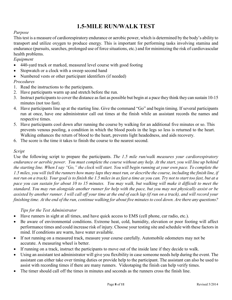# **1.5-MILE RUN/WALK TEST**

### *Purpose*

This test is a measure of cardiorespiratory endurance or aerobic power, which is determined by the body's ability to transport and utilize oxygen to produce energy. This is important for performing tasks involving stamina and endurance (pursuits, searches, prolonged use of force situations, etc.) and for minimizing the risk of cardiovascular health problems.

#### *Equipment*

- $\bullet$ 440-yard track or marked, measured level course with good footing
- Stopwatch or a clock with a sweep second hand  $\bullet$
- Numbered vests or other participant identifiers (if needed)  $\bullet$

#### *Procedures*

- 1. Read the instructions to the participants.
- 2. Have participants warm up and stretch before the run.
- 3. Instruct participants to cover the distance as fast as possible but begin at a pace they think they can sustain 10-15 minutes (not too fast).
- 4. Have participants line up at the starting line. Give the command "Go" and begin timing. If several participants run at once, have one administrator call out times at the finish while an assistant records the names and respective times.
- 5. Have participants cool down after running the course by walking for an additional five minutes or so. This prevents venous pooling, a condition in which the blood pools in the legs so less is returned to the heart. Walking enhances the return of blood to the heart, prevents light headedness, and aids recovery.
- 6. The score is the time it takes to finish the course to the nearest second.

#### *Script*

Use the following script to prepare the participants. *The 1.5 mile run/walk measures your cardiorespiratory endurance or aerobic power. You must complete the course without any help. At the start, you will line up behind the starting line. When I say "Go," the clock will start. You will begin running at your own pace. To complete the 1.5 miles, you will (tell the runners how many laps they must run, or describe the course, including the finish line, if not run on a track). Your goal is to finish the 1.5 miles in as fast a time as you can. Try not to start too fast, but at a pace you can sustain for about 10 to 15 minutes. You may walk, but walking will make it difficult to meet the standard. You may run alongside another runner for help with the pace, but you may not physically assist or be assisted by another runner. I will call off your time at the end of each lap (if run on a track), and will record your finishing time. At the end of the run, continue walking for about five minutes to cool down. Are there any questions?*

#### *Tips for the Test Administrator*

- Have runners in sight at all times, and have quick access to EMS (cell phone, car radio, etc.).  $\bullet$
- Be aware of environmental conditions. Extreme heat, cold, humidity, elevation or poor footing will affect  $\bullet$ performance times and could increase risk of injury. Choose your testing site and schedule with these factors in mind. If conditions are warm, have water available.
- If not running on a measured track, measure your course carefully. Automobile odometers may not be  $\bullet$ accurate. A measuring wheel is better.
- If running on a track, instruct the participants to move out of the inside lane if they decide to walk.
- Using an assistant test administrator will give you flexibility in case someone needs help during the event. The  $\bullet$ assistant can either take over timing duties or provide help to the participant. The assistant can also be used to assist with recording times if there are many runners. Videotaping the finish can help verify times.
- The timer should call off the times in minutes and seconds as the runners cross the finish line.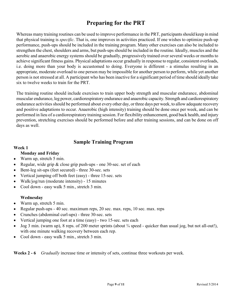# **Preparing for the PRT**

Whereas many training routines can be used to improve performance in the PRT, participants should keep in mind that physical training is *specific*. That is, one improves in activities practiced. If one wishes to optimize push-up performance, push-ups should be included in the training program. Many other exercises can also be included to strengthen the chest, shoulders and arms, but push-ups should be included in the routine. Ideally, muscles and the aerobic and anaerobic energy systems should be gradually, progressively trained over several weeks or months to achieve significant fitness gains. Physical adaptations occur gradually in response to regular, consistent overloads, i.e. doing more than your body is accustomed to doing. Everyone is different - a stimulus resulting in an appropriate, moderate overload to one person may be impossible for another person to perform, while yet another person is not stressed at all. A participant who has been inactive for a significant period of time should ideally take six to twelve weeks to train for the PRT.

The training routine should include exercises to train upper body strength and muscular endurance, abdominal muscular endurance, leg power, cardiorespiratory endurance and anaerobic capacity. Strength and cardiorespiratory endurance activities should be performed about every other day, or three days per week, to allow adequate recovery and positive adaptations to occur. Anaerobic (high intensity) training should be done once per week, and can be performed in lieu of a cardiorespiratory training session. For flexibility enhancement, good back health, and injury prevention, stretching exercises should be performed before and after training sessions, and can be done on off days as well.

## **Sample Training Program**

#### **Week 1**

#### **Monday and Friday**

- Warm up, stretch 5 min.  $\bullet$
- Regular, wide grip & close grip push-ups one 30-sec. set of each
- Bent-leg sit-ups (feet secured) three 30-sec. sets  $\bullet$
- Vertical jumping off both feet (easy) three 15-sec. sets  $\bullet$
- Walk/jog/run (moderate intensity) 15 minutes  $\bullet$
- Cool down easy walk 5 min., stretch 3 min.

#### **Wednesday**

- Warm up, stretch 5 min.  $\bullet$
- Regular push-ups 40 sec. maximum reps, 20 sec. max. reps, 10 sec. max. reps
- Crunches (abdominal curl-ups) three 30-sec. sets  $\bullet$
- Vertical jumping one foot at a time (easy) two 15-sec. sets each  $\bullet$
- Jog 3 min. (warm up), 8 reps. of 200 meter sprints (about ¾ speed quicker than usual jog, but not all-out!),  $\bullet$ with one minute walking recovery between each rep.
- Cool down easy walk 5 min., stretch 3 min.  $\bullet$

**Weeks 2 - 6** *Gradually* increase time or intensity of sets, continue three workouts per week.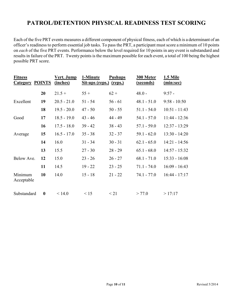## **PATROL/DETENTION PHYSICAL READINESS TEST SCORING**

Each of the five PRT events measures a different component of physical fitness, each of which is a determinant of an officer's readiness to perform essential job tasks. To pass the PRT, a participant must score a minimum of 10 points on *each* of the five PRT events. Performance below the level required for 10 points in any event is substandard and results in failure of the PRT. Twenty points is the maximum possible for each event, a total of 100 being the highest possible PRT score.

| <b>Fitness</b><br><b>Category POINTS</b> |                  | Vert. Jump<br>(inches) | 1-Minute<br>Sit-ups (reps.) (reps.) | <b>Pushups</b> | 300 Meter<br>(seconds) | 1.5 Mile<br>(min:sec) |
|------------------------------------------|------------------|------------------------|-------------------------------------|----------------|------------------------|-----------------------|
|                                          | 20               | $21.5 +$               | $55+$                               | $62 +$         | $48.0 -$               | $9:57 -$              |
| Excellent                                | 19               | $20.5 - 21.0$          | $51 - 54$                           | $56 - 61$      | $48.1 - 51.0$          | $9:58 - 10:50$        |
|                                          | 18               | $19.5 - 20.0$          | $47 - 50$                           | $50 - 55$      | $51.1 - 54.0$          | $10:51 - 11:43$       |
| Good                                     | 17               | $18.5 - 19.0$          | $43 - 46$                           | 44 - 49        | $54.1 - 57.0$          | $11:44 - 12:36$       |
|                                          | 16               | $17.5 - 18.0$          | $39 - 42$                           | $38 - 43$      | $57.1 - 59.0$          | $12:37 - 13:29$       |
| Average                                  | 15               | $16.5 - 17.0$          | $35 - 38$                           | $32 - 37$      | $59.1 - 62.0$          | $13:30 - 14:20$       |
|                                          | 14               | 16.0                   | $31 - 34$                           | $30 - 31$      | $62.1 - 65.0$          | $14:21 - 14:56$       |
|                                          | 13               | 15.5                   | $27 - 30$                           | $28 - 29$      | $65.1 - 68.0$          | 14:57 - 15:32         |
| Below Ave.                               | 12               | 15.0                   | $23 - 26$                           | $26 - 27$      | $68.1 - 71.0$          | $15:33 - 16:08$       |
|                                          | 11               | 14.5                   | $19 - 22$                           | $23 - 25$      | $71.1 - 74.0$          | $16:09 - 16:43$       |
| Minimum<br>Acceptable                    | 10               | 14.0                   | $15 - 18$                           | $21 - 22$      | $74.1 - 77.0$          | $16:44 - 17:17$       |
| Substandard                              | $\boldsymbol{0}$ | < 14.0                 | $\leq 15$                           | $\leq$ 21      | > 77.0                 | >17:17                |